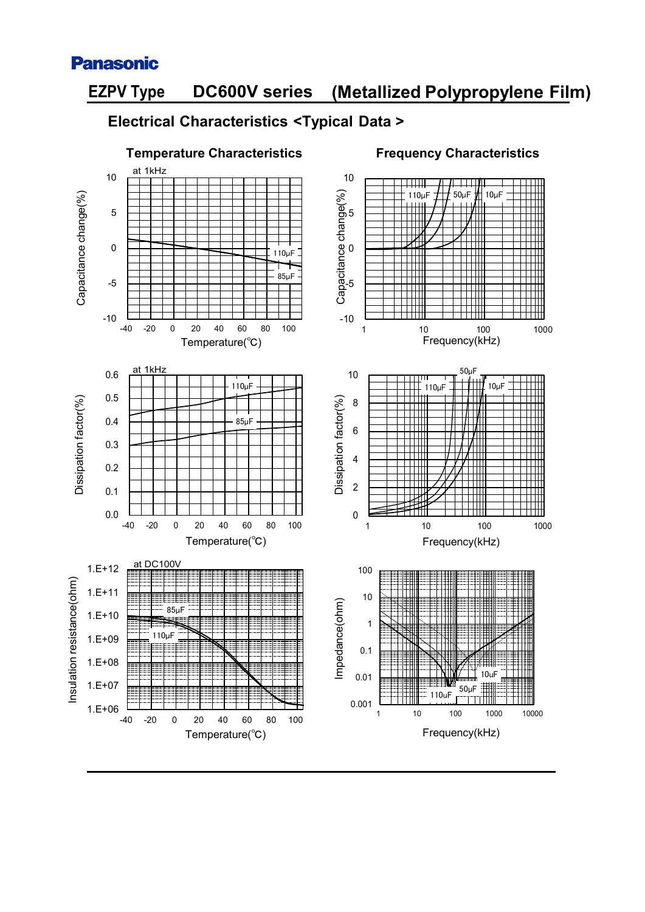

# **(Metallized Polypropylene Film) EZPV Type DC600V series**

#### **Electrical Characteristics <Typical Data >**

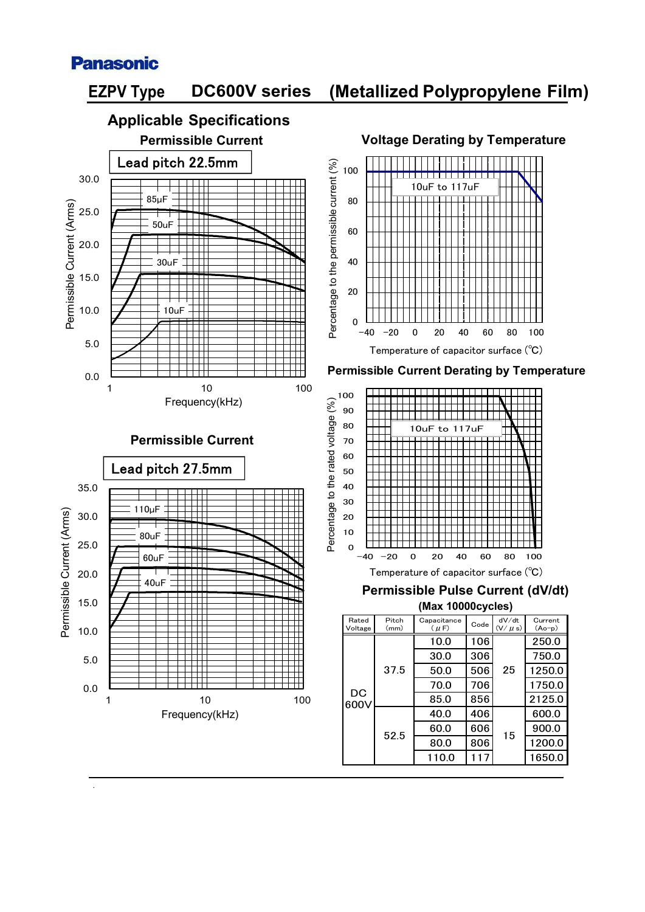

.



### **(Metallized Polypropylene Film)**

110.0 | 117 | 1650.0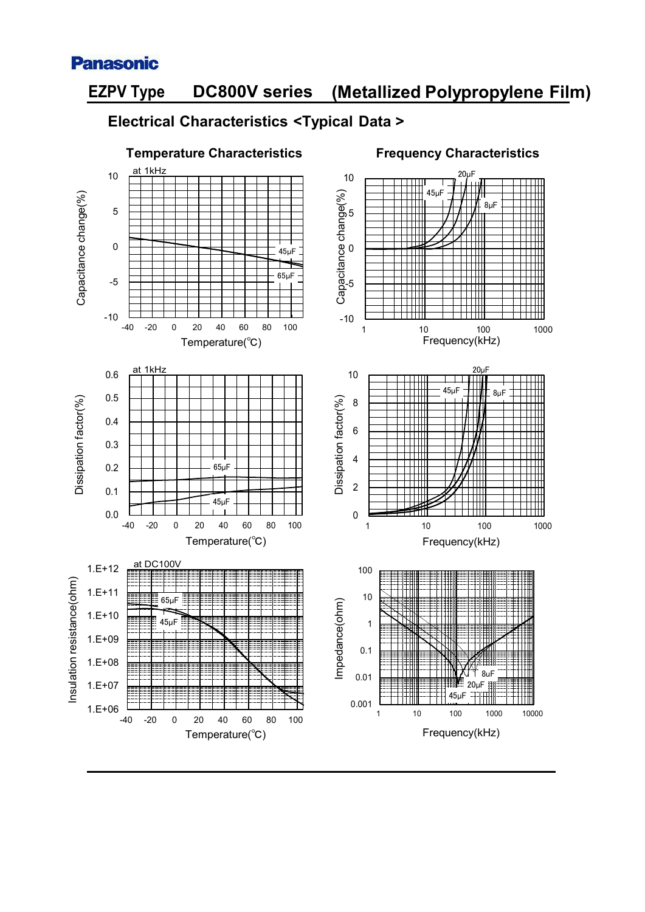

# **(Metallized Polypropylene Film) EZPV Type DC800V series**

#### **Electrical Characteristics <Typical Data >**

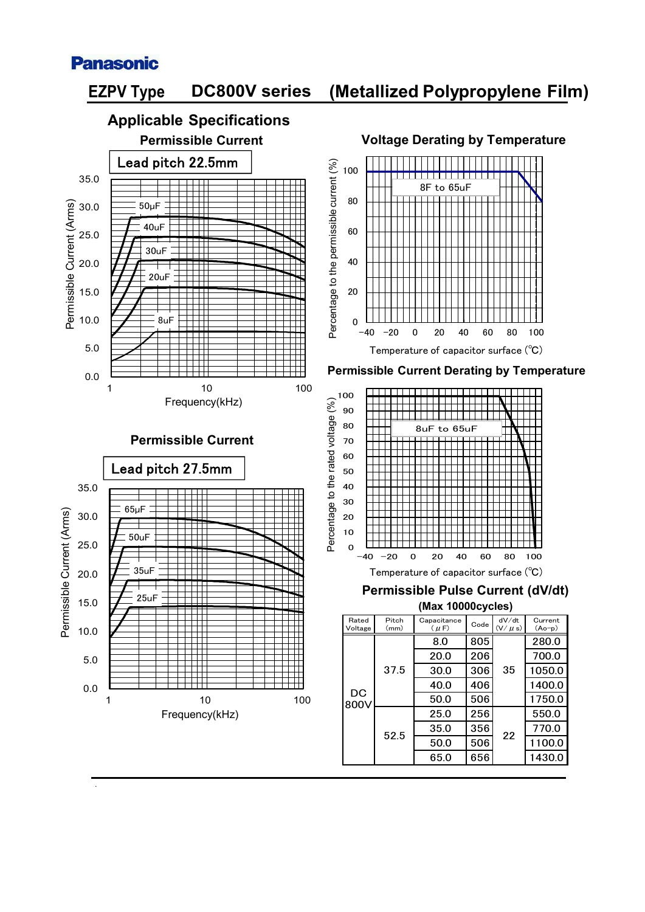

.



| Rated<br>Voltage | Pitch<br>(mm) | Capacitance<br>$(\mu F)$ | Code | dV/dt<br>$(V/\mu s)$ | Current<br>$(Ao-p)$ |
|------------------|---------------|--------------------------|------|----------------------|---------------------|
| DC<br>800V       | 37.5          | 8.0                      | 805  | 35                   | 280.0               |
|                  |               | 20.0                     | 206  |                      | 700.0               |
|                  |               | 30.0                     | 306  |                      | 1050.0              |
|                  |               | 40.0                     | 406  |                      | 1400.0              |
|                  |               | 50.0                     | 506  |                      | 1750.0              |
|                  | 52.5          | 25.0                     | 256  | 22                   | 550.0               |
|                  |               | 35.0                     | 356  |                      | 770.0               |
|                  |               | 50.0                     | 506  |                      | 1100.0              |
|                  |               | 65.0                     | 656  |                      | 1430.0              |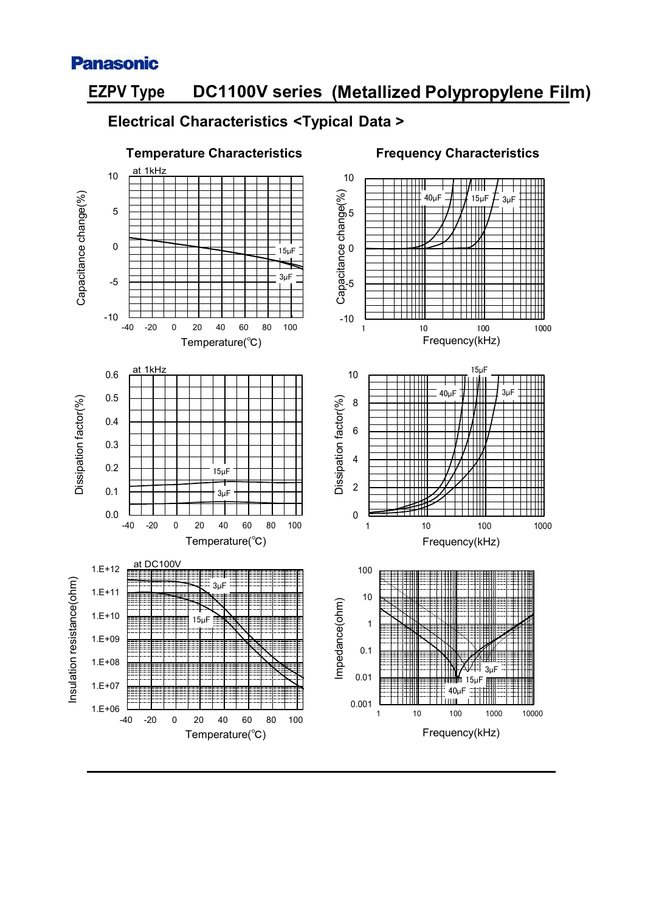

## **(Metallized Polypropylene Film) EZPV Type DC1100V series**

#### **Electrical Characteristics <Typical Data >**